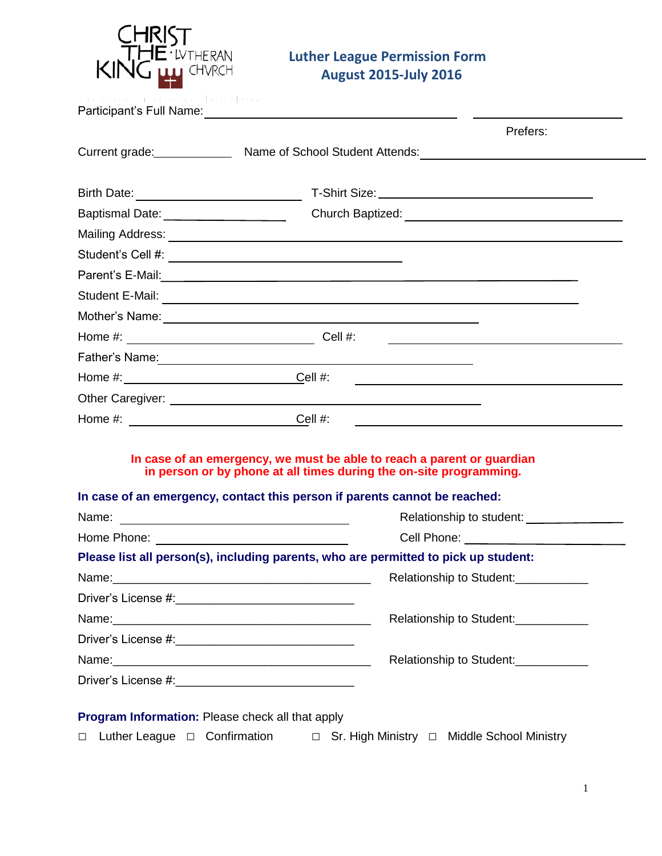

# **Luther League Permission Form**

|                                                        |                                                                                                                        | Prefers:                                                                                                                                     |  |
|--------------------------------------------------------|------------------------------------------------------------------------------------------------------------------------|----------------------------------------------------------------------------------------------------------------------------------------------|--|
|                                                        |                                                                                                                        | Current grade: Mame of School Student Attends: Name of School Student Attends:                                                               |  |
|                                                        |                                                                                                                        |                                                                                                                                              |  |
| Birth Date: _____________________________              |                                                                                                                        |                                                                                                                                              |  |
| Baptismal Date: _____________________                  |                                                                                                                        |                                                                                                                                              |  |
|                                                        |                                                                                                                        |                                                                                                                                              |  |
|                                                        |                                                                                                                        |                                                                                                                                              |  |
|                                                        |                                                                                                                        |                                                                                                                                              |  |
|                                                        |                                                                                                                        | Student E-Mail: <u>Communication</u>                                                                                                         |  |
|                                                        |                                                                                                                        |                                                                                                                                              |  |
|                                                        |                                                                                                                        |                                                                                                                                              |  |
|                                                        |                                                                                                                        |                                                                                                                                              |  |
|                                                        |                                                                                                                        | <u> 1990 - Johann Barbara, martin amerikan basar da</u>                                                                                      |  |
|                                                        | Other Caregiver: <u>Carrier Communication</u> Control of the Carrier Communication of the Carrier Communication of the |                                                                                                                                              |  |
| Home #: ______________________________Cell #:          |                                                                                                                        |                                                                                                                                              |  |
|                                                        | In case of an emergency, contact this person if parents cannot be reached:                                             | In case of an emergency, we must be able to reach a parent or guardian<br>in person or by phone at all times during the on-site programming. |  |
|                                                        |                                                                                                                        | Relationship to student:                                                                                                                     |  |
|                                                        |                                                                                                                        |                                                                                                                                              |  |
|                                                        |                                                                                                                        | Please list all person(s), including parents, who are permitted to pick up student:                                                          |  |
|                                                        |                                                                                                                        | Relationship to Student: 2000 2000                                                                                                           |  |
| Driver's License #:__________________________________  |                                                                                                                        |                                                                                                                                              |  |
|                                                        |                                                                                                                        | Relationship to Student:<br><u>[</u> [11][12] Relationship to Student:                                                                       |  |
| Driver's License #:___________________________________ |                                                                                                                        |                                                                                                                                              |  |
|                                                        |                                                                                                                        | Relationship to Student:<br><u>Letter</u>                                                                                                    |  |
| Driver's License #:__________________________________  |                                                                                                                        |                                                                                                                                              |  |
| Program Information: Please check all that apply       |                                                                                                                        |                                                                                                                                              |  |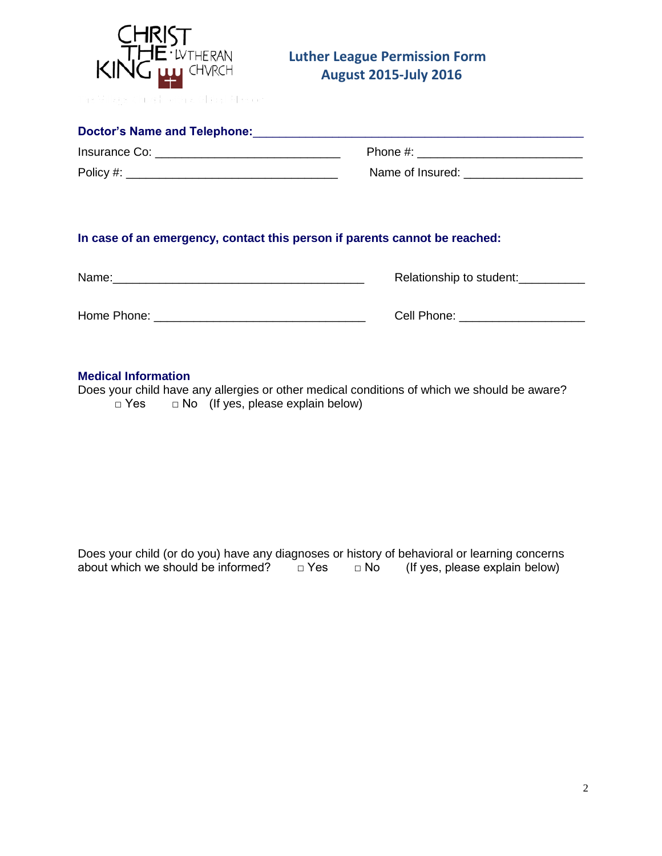

# **Luther League Permission Form**

| Doctor's Name and Telephone: |                  |  |  |
|------------------------------|------------------|--|--|
| Insurance Co:                | Phone #:         |  |  |
| Policy #:                    | Name of Insured: |  |  |

## **In case of an emergency, contact this person if parents cannot be reached:**

| Name:       | Relationship to student: |
|-------------|--------------------------|
| Home Phone: | Cell Phone:              |

### **Medical Information**

Does your child have any allergies or other medical conditions of which we should be aware?  $\Box$  Yes  $\Box$  No (If yes, please explain below)

Does your child (or do you) have any diagnoses or history of behavioral or learning concerns about which we should be informed?  $\Box$  Yes  $\Box$  No (If yes, please explain below) about which we should be informed?  $\Box$  Yes